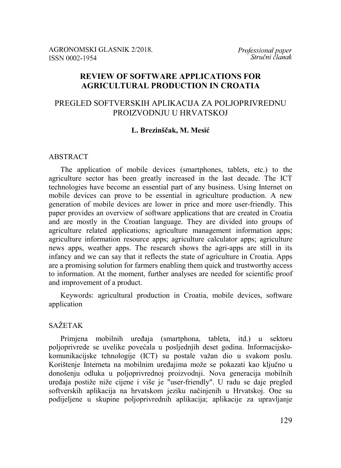# **REVIEW OF SOFTWARE APPLICATIONS FOR AGRICULTURAL PRODUCTION IN CROATIA**

# PREGLED SOFTVERSKIH APLIKACIJA ZA POLJOPRIVREDNU PROIZVODNJU U HRVATSKOJ

## **L. Brezinščak, M. Mesić**

#### ABSTRACT

The application of mobile devices (smartphones, tablets, etc.) to the agriculture sector has been greatly increased in the last decade. The ICT technologies have become an essential part of any business. Using Internet on mobile devices can prove to be essential in agriculture production. A new generation of mobile devices are lower in price and more user-friendly. This paper provides an overview of software applications that are created in Croatia and are mostly in the Croatian language. They are divided into groups of agriculture related applications; agriculture management information apps; agriculture information resource apps; agriculture calculator apps; agriculture news apps, weather apps. The research shows the agri-apps are still in its infancy and we can say that it reflects the state of agriculture in Croatia. Apps are a promising solution for farmers enabling them quick and trustworthy access to information. At the moment, further analyses are needed for scientific proof and improvement of a product.

Keywords: agricultural production in Croatia, mobile devices, software application

### SAŽETAK

Primjena mobilnih uređaja (smartphona, tableta, itd.) u sektoru poljoprivrede se uvelike povećala u posljednjih deset godina. Informacijskokomunikacijske tehnologije (ICT) su postale važan dio u svakom poslu. Korištenje Interneta na mobilnim uređajima može se pokazati kao ključno u donošenju odluka u poljoprivrednoj proizvodnji. Nova generacija mobilnih uređaja postiže niže cijene i više je "user-friendly". U radu se daje pregled softverskih aplikacija na hrvatskom jeziku načinjenih u Hrvatskoj. One su podijeljene u skupine poljoprivrednih aplikacija; aplikacije za upravljanje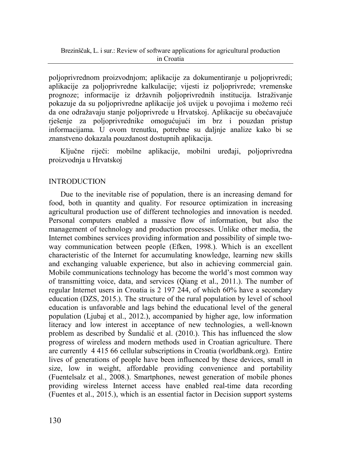poljoprivrednom proizvodnjom; aplikacije za dokumentiranje u poljoprivredi; aplikacije za poljoprivredne kalkulacije; vijesti iz poljoprivrede; vremenske prognoze; informacije iz državnih poljoprivrednih institucija. Istraživanje pokazuje da su poljoprivredne aplikacije još uvijek u povojima i možemo reći da one odražavaju stanje poljoprivrede u Hrvatskoj. Aplikacije su obećavajuće rješenje za poljoprivrednike omogućujući im brz i pouzdan pristup informacijama. U ovom trenutku, potrebne su daljnje analize kako bi se znanstveno dokazala pouzdanost dostupnih aplikacija.

Ključne riječi: mobilne aplikacije, mobilni uređaji, poljoprivredna proizvodnja u Hrvatskoj

## INTRODUCTION

Due to the inevitable rise of population, there is an increasing demand for food, both in quantity and quality. For resource optimization in increasing agricultural production use of different technologies and innovation is needed. Personal computers enabled a massive flow of information, but also the management of technology and production processes. Unlike other media, the Internet combines services providing information and possibility of simple twoway communication between people (Efken, 1998.). Which is an excellent characteristic of the Internet for accumulating knowledge, learning new skills and exchanging valuable experience, but also in achieving commercial gain. Mobile communications technology has become the world's most common way of transmitting voice, data, and services (Qiang et al., 2011.). The number of regular Internet users in Croatia is 2 197 244, of which 60% have a secondary education (DZS, 2015.). The structure of the rural population by level of school education is unfavorable and lags behind the educational level of the general population (Ljubaj et al., 2012.), accompanied by higher age, low information literacy and low interest in acceptance of new technologies, a well-known problem as described by Šundalić et al. (2010.). This has influenced the slow progress of wireless and modern methods used in Croatian agriculture. There are currently 4 415 66 cellular subscriptions in Croatia (worldbank.org). Entire lives of generations of people have been influenced by these devices, small in size, low in weight, affordable providing convenience and portability (Fuentelsalz et al., 2008.). Smartphones, newest generation of mobile phones providing wireless Internet access have enabled real-time data recording (Fuentes et al., 2015.), which is an essential factor in Decision support systems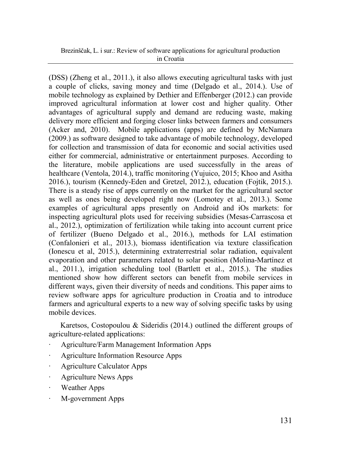(DSS) (Zheng et al., 2011.), it also allows executing agricultural tasks with just a couple of clicks, saving money and time (Delgado et al., 2014.). Use of mobile technology as explained by Dethier and Effenberger (2012.) can provide improved agricultural information at lower cost and higher quality. Other advantages of agricultural supply and demand are reducing waste, making delivery more efficient and forging closer links between farmers and consumers (Acker and, 2010). Mobile applications (apps) are defined by McNamara (2009.) as software designed to take advantage of mobile technology, developed for collection and transmission of data for economic and social activities used either for commercial, administrative or entertainment purposes. According to the literature, mobile applications are used successfully in the areas of healthcare (Ventola, 2014.), traffic monitoring (Yujuico, 2015; Khoo and Asitha 2016.), tourism (Kennedy-Eden and Gretzel, 2012.), education (Fojtik, 2015.). There is a steady rise of apps currently on the market for the agricultural sector as well as ones being developed right now (Lomotey et al., 2013.). Some examples of agricultural apps presently on Android and iOs markets: for inspecting agricultural plots used for receiving subsidies (Mesas-Carrascosa et al., 2012.), optimization of fertilization while taking into account current price of fertilizer (Bueno Delgado et al., 2016.), methods for LAI estimation (Confalonieri et al., 2013.), biomass identification via texture classification (Ionescu et al, 2015.), determining extraterrestrial solar radiation, equivalent evaporation and other parameters related to solar position (Molina-Martínez et al., 2011.), irrigation scheduling tool (Bartlett et al., 2015.). The studies mentioned show how different sectors can benefit from mobile services in different ways, given their diversity of needs and conditions. This paper aims to review software apps for agriculture production in Croatia and to introduce farmers and agricultural experts to a new way of solving specific tasks by using mobile devices.

Karetsos, Costopoulou & Sideridis (2014.) outlined the different groups of agriculture-related applications:

- · Agriculture/Farm Management Information Apps
- · Agriculture Information Resource Apps
- · Agriculture Calculator Apps
- · Agriculture News Apps
- · Weather Apps
- · M-government Apps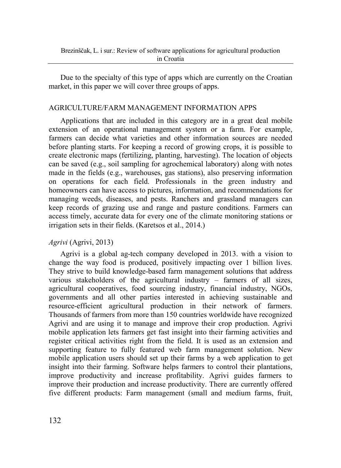Due to the specialty of this type of apps which are currently on the Croatian market, in this paper we will cover three groups of apps.

## AGRICULTURE/FARM MANAGEMENT INFORMATION APPS

Applications that are included in this category are in a great deal mobile extension of an operational management system or a farm. For example, farmers can decide what varieties and other information sources are needed before planting starts. For keeping a record of growing crops, it is possible to create electronic maps (fertilizing, planting, harvesting). The location of objects can be saved (e.g., soil sampling for agrochemical laboratory) along with notes made in the fields (e.g., warehouses, gas stations), also preserving information on operations for each field. Professionals in the green industry and homeowners can have access to pictures, information, and recommendations for managing weeds, diseases, and pests. Ranchers and grassland managers can keep records of grazing use and range and pasture conditions. Farmers can access timely, accurate data for every one of the climate monitoring stations or irrigation sets in their fields. (Karetsos et al., 2014.)

### *Agrivi* (Agrivi, 2013)

Agrivi is a global ag-tech company developed in 2013. with a vision to change the way food is produced, positively impacting over 1 billion lives. They strive to build knowledge-based farm management solutions that address various stakeholders of the agricultural industry – farmers of all sizes, agricultural cooperatives, food sourcing industry, financial industry, NGOs, governments and all other parties interested in achieving sustainable and resource-efficient agricultural production in their network of farmers. Thousands of farmers from more than 150 countries worldwide have recognized Agrivi and are using it to manage and improve their crop production. Agrivi mobile application lets farmers get fast insight into their farming activities and register critical activities right from the field. It is used as an extension and supporting feature to fully featured web farm management solution. New mobile application users should set up their farms by a web application to get insight into their farming. Software helps farmers to control their plantations, improve productivity and increase profitability. Agrivi guides farmers to improve their production and increase productivity. There are currently offered five different products: Farm management (small and medium farms, fruit,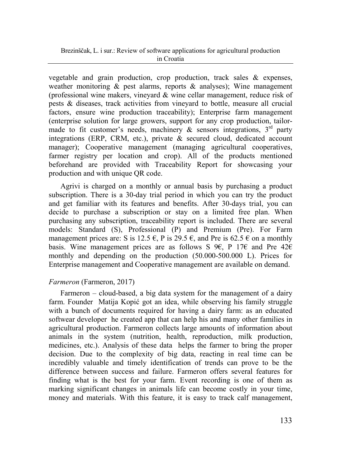vegetable and grain production, crop production, track sales & expenses, weather monitoring  $\&$  pest alarms, reports  $\&$  analyses); Wine management (professional wine makers, vineyard & wine cellar management, reduce risk of pests & diseases, track activities from vineyard to bottle, measure all crucial factors, ensure wine production traceability); Enterprise farm management (enterprise solution for large growers, support for any crop production, tailormade to fit customer's needs, machinery  $\&$  sensors integrations,  $3<sup>rd</sup>$  party integrations (ERP, CRM, etc.), private & secured cloud, dedicated account manager); Cooperative management (managing agricultural cooperatives, farmer registry per location and crop). All of the products mentioned beforehand are provided with Traceability Report for showcasing your production and with unique QR code.

Agrivi is charged on a monthly or annual basis by purchasing a product subscription. There is a 30-day trial period in which you can try the product and get familiar with its features and benefits. After 30-days trial, you can decide to purchase a subscription or stay on a limited free plan. When purchasing any subscription, traceability report is included. There are several models: Standard (S), Professional (P) and Premium (Pre). For Farm management prices are: S is  $12.5 \in$ , P is  $29.5 \in$ , and Pre is  $62.5 \in$  on a monthly basis. Wine management prices are as follows S  $9 \text{E}$ , P  $17 \text{E}$  and Pre  $42 \text{E}$ monthly and depending on the production (50.000-500.000 L). Prices for Enterprise management and Cooperative management are available on demand.

# *Farmeron* (Farmeron, 2017)

Farmeron – cloud-based, a big data system for the management of a dairy farm. Founder Matija Kopić got an idea, while observing his family struggle with a bunch of documents required for having a dairy farm: as an educated softwear developer he created app that can help his and many other families in agricultural production. Farmeron collects large amounts of information about animals in the system (nutrition, health, reproduction, milk production, medicines, etc.). Analysis of these data helps the farmer to bring the proper decision. Due to the complexity of big data, reacting in real time can be incredibly valuable and timely identification of trends can prove to be the difference between success and failure. Farmeron offers several features for finding what is the best for your farm. Event recording is one of them as marking significant changes in animals life can become costly in your time, money and materials. With this feature, it is easy to track calf management,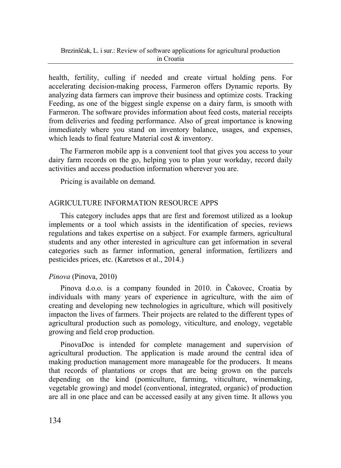health, fertility, culling if needed and create virtual holding pens. For accelerating decision-making process, Farmeron offers Dynamic reports. By analyzing data farmers can improve their business and optimize costs. Tracking Feeding, as one of the biggest single expense on a dairy farm, is smooth with Farmeron. The software provides information about feed costs, material receipts from deliveries and feeding performance. Also of great importance is knowing immediately where you stand on inventory balance, usages, and expenses, which leads to final feature Material cost & inventory.

The Farmeron mobile app is a convenient tool that gives you access to your dairy farm records on the go, helping you to plan your workday, record daily activities and access production information wherever you are.

Pricing is available on demand.

## AGRICULTURE INFORMATION RESOURCE APPS

This category includes apps that are first and foremost utilized as a lookup implements or a tool which assists in the identification of species, reviews regulations and takes expertise on a subject. For example farmers, agricultural students and any other interested in agriculture can get information in several categories such as farmer information, general information, fertilizers and pesticides prices, etc. (Karetsos et al., 2014.)

# *Pinova* (Pinova, 2010)

Pinova d.o.o. is a company founded in 2010. in Čakovec, Croatia by individuals with many years of experience in agriculture, with the aim of creating and developing new technologies in agriculture, which will positively impacton the lives of farmers. Their projects are related to the different types of agricultural production such as pomology, viticulture, and enology, vegetable growing and field crop production.

PinovaDoc is intended for complete management and supervision of agricultural production. The application is made around the central idea of making production management more manageable for the producers. It means that records of plantations or crops that are being grown on the parcels depending on the kind (pomiculture, farming, viticulture, winemaking, vegetable growing) and model (conventional, integrated, organic) of production are all in one place and can be accessed easily at any given time. It allows you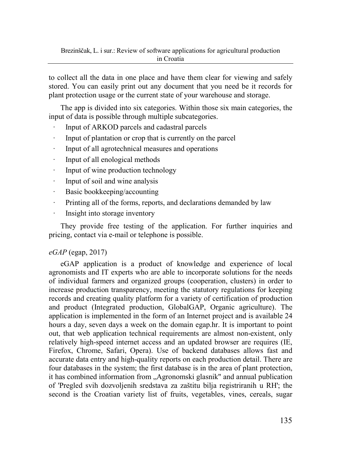to collect all the data in one place and have them clear for viewing and safely stored. You can easily print out any document that you need be it records for plant protection usage or the current state of your warehouse and storage.

The app is divided into six categories. Within those six main categories, the input of data is possible through multiple subcategories.

- · Input of ARKOD parcels and cadastral parcels
- Input of plantation or crop that is currently on the parcel
- · Input of all agrotechnical measures and operations
- · Input of all enological methods
- · Input of wine production technology
- · Input of soil and wine analysis
- · Basic bookkeeping/accounting
- Printing all of the forms, reports, and declarations demanded by law
- Insight into storage inventory

They provide free testing of the application. For further inquiries and pricing, contact via e-mail or telephone is possible.

### *eGAP* (egap, 2017)

eGAP application is a product of knowledge and experience of local agronomists and IT experts who are able to incorporate solutions for the needs of individual farmers and organized groups (cooperation, clusters) in order to increase production transparency, meeting the statutory regulations for keeping records and creating quality platform for a variety of certification of production and product (Integrated production, GlobalGAP, Organic agriculture). The application is implemented in the form of an Internet project and is available 24 hours a day, seven days a week on the domain egap.hr. It is important to point out, that web application technical requirements are almost non-existent, only relatively high-speed internet access and an updated browser are requires (IE, Firefox, Chrome, Safari, Opera). Use of backend databases allows fast and accurate data entry and high-quality reports on each production detail. There are four databases in the system; the first database is in the area of plant protection, it has combined information from "Agronomski glasnik" and annual publication of 'Pregled svih dozvoljenih sredstava za zaštitu bilja registriranih u RH'; the second is the Croatian variety list of fruits, vegetables, vines, cereals, sugar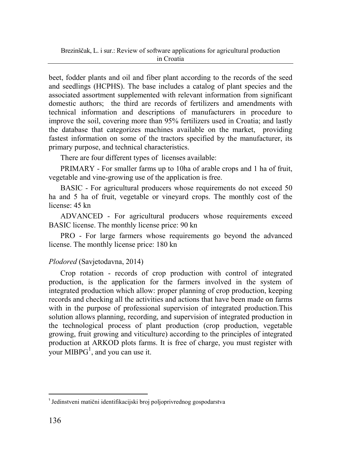beet, fodder plants and oil and fiber plant according to the records of the seed and seedlings (HCPHS). The base includes a catalog of plant species and the associated assortment supplemented with relevant information from significant domestic authors; the third are records of fertilizers and amendments with technical information and descriptions of manufacturers in procedure to improve the soil, covering more than 95% fertilizers used in Croatia; and lastly the database that categorizes machines available on the market, providing fastest information on some of the tractors specified by the manufacturer, its primary purpose, and technical characteristics.

There are four different types of licenses available:

PRIMARY - For smaller farms up to 10ha of arable crops and 1 ha of fruit, vegetable and vine-growing use of the application is free.

BASIC - For agricultural producers whose requirements do not exceed 50 ha and 5 ha of fruit, vegetable or vineyard crops. The monthly cost of the license: 45 kn

ADVANCED - For agricultural producers whose requirements exceed BASIC license. The monthly license price: 90 kn

PRO - For large farmers whose requirements go beyond the advanced license. The monthly license price: 180 kn

# *Plodored* (Savjetodavna, 2014)

Crop rotation - records of crop production with control of integrated production, is the application for the farmers involved in the system of integrated production which allow: proper planning of crop production, keeping records and checking all the activities and actions that have been made on farms with in the purpose of professional supervision of integrated production.This solution allows planning, recording, and supervision of integrated production in the technological process of plant production (crop production, vegetable growing, fruit growing and viticulture) according to the principles of integrated production at ARKOD plots farms. It is free of charge, you must register with your  $MIBPG<sup>1</sup>$ , and you can use it.

<sup>-&</sup>lt;br>1 <sup>1</sup> Jedinstveni matični identifikacijski broj poljoprivrednog gospodarstva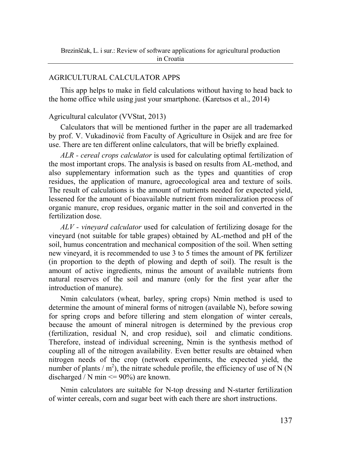#### AGRICULTURAL CALCULATOR APPS

This app helps to make in field calculations without having to head back to the home office while using just your smartphone. (Karetsos et al., 2014)

#### Agricultural calculator (VVStat, 2013)

Calculators that will be mentioned further in the paper are all trademarked by prof. V. Vukadinović from Faculty of Agriculture in Osijek and are free for use. There are ten different online calculators, that will be briefly explained.

*ALR - cereal crops calculator* is used for calculating optimal fertilization of the most important crops. The analysis is based on results from AL-method, and also supplementary information such as the types and quantities of crop residues, the application of manure, agroecological area and texture of soils. The result of calculations is the amount of nutrients needed for expected yield, lessened for the amount of bioavailable nutrient from mineralization process of organic manure, crop residues, organic matter in the soil and converted in the fertilization dose.

*ALV - vineyard calculator* used for calculation of fertilizing dosage for the vineyard (not suitable for table grapes) obtained by AL-method and pH of the soil, humus concentration and mechanical composition of the soil. When setting new vineyard, it is recommended to use 3 to 5 times the amount of PK fertilizer (in proportion to the depth of plowing and depth of soil). The result is the amount of active ingredients, minus the amount of available nutrients from natural reserves of the soil and manure (only for the first year after the introduction of manure).

Nmin calculators (wheat, barley, spring crops) Nmin method is used to determine the amount of mineral forms of nitrogen (available N), before sowing for spring crops and before tillering and stem elongation of winter cereals, because the amount of mineral nitrogen is determined by the previous crop (fertilization, residual N, and crop residue), soil and climatic conditions. Therefore, instead of individual screening, Nmin is the synthesis method of coupling all of the nitrogen availability. Even better results are obtained when nitrogen needs of the crop (network experiments, the expected yield, the number of plants /  $m^2$ ), the nitrate schedule profile, the efficiency of use of N (N discharged / N min  $\leq$  90%) are known.

Nmin calculators are suitable for N-top dressing and N-starter fertilization of winter cereals, corn and sugar beet with each there are short instructions.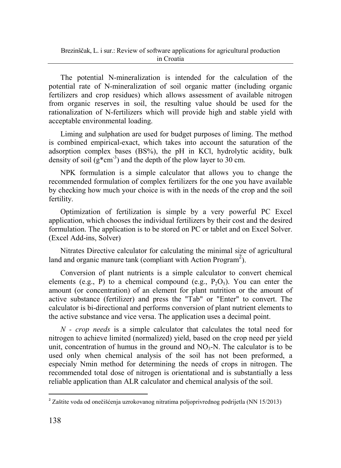The potential N-mineralization is intended for the calculation of the potential rate of N-mineralization of soil organic matter (including organic fertilizers and crop residues) which allows assessment of available nitrogen from organic reserves in soil, the resulting value should be used for the rationalization of N-fertilizers which will provide high and stable yield with acceptable environmental loading.

Liming and sulphation are used for budget purposes of liming. The method is combined empirical-exact, which takes into account the saturation of the adsorption complex bases (BS%), the pH in KCl, hydrolytic acidity, bulk density of soil  $(g^*cm^3)$  and the depth of the plow layer to 30 cm.

NPK formulation is a simple calculator that allows you to change the recommended formulation of complex fertilizers for the one you have available by checking how much your choice is with in the needs of the crop and the soil fertility.

Optimization of fertilization is simple by a very powerful PC Excel application, which chooses the individual fertilizers by their cost and the desired formulation. The application is to be stored on PC or tablet and on Excel Solver. (Excel Add-ins, Solver)

Nitrates Directive calculator for calculating the minimal size of agricultural land and organic manure tank (compliant with Action Program<sup>2</sup>).

Conversion of plant nutrients is a simple calculator to convert chemical elements (e.g., P) to a chemical compound (e.g.,  $P_2O_5$ ). You can enter the amount (or concentration) of an element for plant nutrition or the amount of active substance (fertilizer) and press the "Tab" or "Enter" to convert. The calculator is bi-directional and performs conversion of plant nutrient elements to the active substance and vice versa. The application uses a decimal point.

*N - crop needs* is a simple calculator that calculates the total need for nitrogen to achieve limited (normalized) yield, based on the crop need per yield unit, concentration of humus in the ground and  $NO<sub>3</sub>-N$ . The calculator is to be used only when chemical analysis of the soil has not been preformed, a especialy Nmin method for determining the needs of crops in nitrogen. The recommended total dose of nitrogen is orientational and is substantially a less reliable application than ALR calculator and chemical analysis of the soil.

<sup>2</sup> Zaštite voda od onečišćenja uzrokovanog nitratima poljoprivrednog podrijetla (NN 15/2013)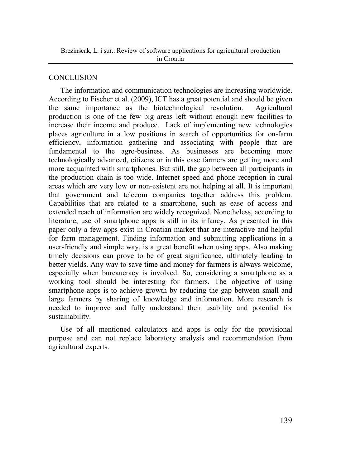#### **CONCLUSION**

The information and communication technologies are increasing worldwide. According to Fischer et al. (2009), ICT has a great potential and should be given the same importance as the biotechnological revolution. Agricultural production is one of the few big areas left without enough new facilities to increase their income and produce. Lack of implementing new technologies places agriculture in a low positions in search of opportunities for on-farm efficiency, information gathering and associating with people that are fundamental to the agro-business. As businesses are becoming more technologically advanced, citizens or in this case farmers are getting more and more acquainted with smartphones. But still, the gap between all participants in the production chain is too wide. Internet speed and phone reception in rural areas which are very low or non-existent are not helping at all. It is important that government and telecom companies together address this problem. Capabilities that are related to a smartphone, such as ease of access and extended reach of information are widely recognized. Nonetheless, according to literature, use of smartphone apps is still in its infancy. As presented in this paper only a few apps exist in Croatian market that are interactive and helpful for farm management. Finding information and submitting applications in a user-friendly and simple way, is a great benefit when using apps. Also making timely decisions can prove to be of great significance, ultimately leading to better yields. Any way to save time and money for farmers is always welcome, especially when bureaucracy is involved. So, considering a smartphone as a working tool should be interesting for farmers. The objective of using smartphone apps is to achieve growth by reducing the gap between small and large farmers by sharing of knowledge and information. More research is needed to improve and fully understand their usability and potential for sustainability.

Use of all mentioned calculators and apps is only for the provisional purpose and can not replace laboratory analysis and recommendation from agricultural experts.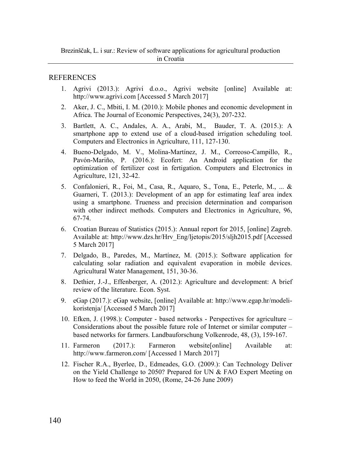#### **REFERENCES**

- 1. Agrivi (2013.): Agrivi d.o.o., Agrivi website [online] Available at: http://www.agrivi.com [Accessed 5 March 2017]
- 2. Aker, J. C., Mbiti, I. M. (2010.): Mobile phones and economic development in Africa. The Journal of Economic Perspectives, 24(3), 207-232.
- 3. Bartlett, A. C., Andales, A. A., Arabi, M., Bauder, T. A. (2015.): A smartphone app to extend use of a cloud-based irrigation scheduling tool. Computers and Electronics in Agriculture, 111, 127-130.
- 4. Bueno-Delgado, M. V., Molina-Martínez, J. M., Correoso-Campillo, R., Pavón-Mariño, P. (2016.): Ecofert: An Android application for the optimization of fertilizer cost in fertigation. Computers and Electronics in Agriculture, 121, 32-42.
- 5. Confalonieri, R., Foi, M., Casa, R., Aquaro, S., Tona, E., Peterle, M., ... & Guarneri, T. (2013.): Development of an app for estimating leaf area index using a smartphone. Trueness and precision determination and comparison with other indirect methods. Computers and Electronics in Agriculture, 96, 67-74.
- 6. Croatian Bureau of Statistics (2015.): Annual report for 2015, [online] Zagreb. Available at: http://www.dzs.hr/Hrv\_Eng/ljetopis/2015/sljh2015.pdf [Accessed 5 March 2017]
- 7. Delgado, B., Paredes, M., Martínez, M. (2015.): Software application for calculating solar radiation and equivalent evaporation in mobile devices. Agricultural Water Management, 151, 30-36.
- 8. Dethier, J.-J., Effenberger, A. (2012.): Agriculture and development: A brief review of the literature. Econ. Syst.
- 9. eGap (2017.): eGap website, [online] Available at: http://www.egap.hr/modelikoristenja/ [Accessed 5 March 2017]
- 10. Efken, J. (1998.): Computer based networks Perspectives for agriculture Considerations about the possible future role of Internet or similar computer – based networks for farmers. Landbauforschung Volkenrode, 48, (3), 159-167.
- 11. Farmeron (2017.): Farmeron website[online] Available at: http://www.farmeron.com/ [Accessed 1 March 2017]
- 12. Fischer R.A., Byerlee, D., Edmeades, G.O. (2009.): Can Technology Deliver on the Yield Challenge to 2050? Prepared for UN & FAO Expert Meeting on How to feed the World in 2050, (Rome, 24-26 June 2009)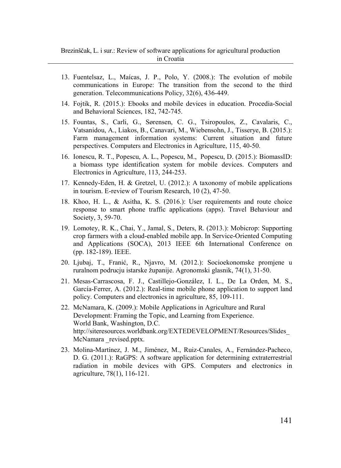- 13. Fuentelsaz, L., Maícas, J. P., Polo, Y. (2008.): The evolution of mobile communications in Europe: The transition from the second to the third generation. Telecommunications Policy, 32(6), 436-449.
- 14. Fojtik, R. (2015.): Ebooks and mobile devices in education. Procedia-Social and Behavioral Sciences, 182, 742-745.
- 15. Fountas, S., Carli, G., Sørensen, C. G., Tsiropoulos, Z., Cavalaris, C., Vatsanidou, A., Liakos, B., Canavari, M., Wiebensohn, J., Tisserye, B. (2015.): Farm management information systems: Current situation and future perspectives. Computers and Electronics in Agriculture, 115, 40-50.
- 16. Ionescu, R. T., Popescu, A. L., Popescu, M., Popescu, D. (2015.): BiomassID: a biomass type identification system for mobile devices. Computers and Electronics in Agriculture, 113, 244-253.
- 17. Kennedy-Eden, H. & Gretzel, U. (2012.): A taxonomy of mobile applications in tourism. E-review of Tourism Research, 10 (2), 47-50.
- 18. Khoo, H. L., & Asitha, K. S. (2016.): User requirements and route choice response to smart phone traffic applications (apps). Travel Behaviour and Society, 3, 59-70.
- 19. Lomotey, R. K., Chai, Y., Jamal, S., Deters, R. (2013.): Mobicrop: Supporting crop farmers with a cloud-enabled mobile app. In Service-Oriented Computing and Applications (SOCA), 2013 IEEE 6th International Conference on (pp. 182-189). IEEE.
- 20. Ljubaj, T., Franić, R., Njavro, M. (2012.): Socioekonomske promjene u ruralnom podrucju istarske županije. Agronomski glasnik, 74(1), 31-50.
- 21. Mesas-Carrascosa, F. J., Castillejo-González, I. L., De La Orden, M. S., García-Ferrer, A. (2012.): Real-time mobile phone application to support land policy. Computers and electronics in agriculture, 85, 109-111.
- 22. McNamara, K. (2009.): Mobile Applications in Agriculture and Rural Development: Framing the Topic, and Learning from Experience. World Bank, Washington, D.C. http://siteresources.worldbank.org/EXTEDEVELOPMENT/Resources/Slides\_ McNamara revised.pptx.
- 23. Molina-Martínez, J. M., Jiménez, M., Ruiz-Canales, A., Fernández-Pacheco, D. G. (2011.): RaGPS: A software application for determining extraterrestrial radiation in mobile devices with GPS. Computers and electronics in agriculture, 78(1), 116-121.